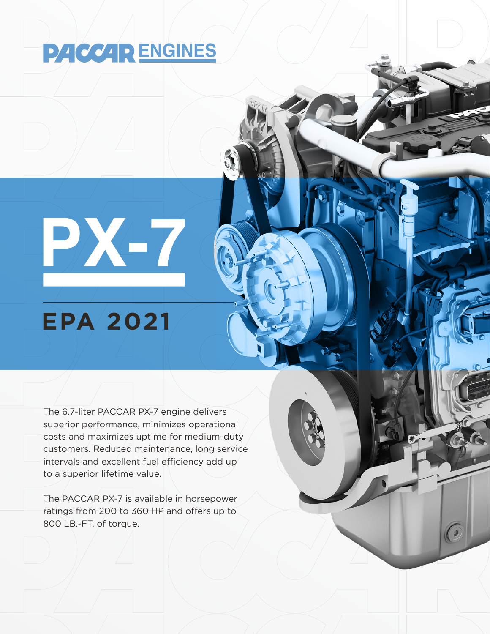## **PACCAR ENGINES**

## **EPA 2021**

PXLT

The 6.7-liter PACCAR PX-7 engine delivers superior performance, minimizes operational costs and maximizes uptime for medium-duty customers. Reduced maintenance, long service intervals and excellent fuel efficiency add up to a superior lifetime value.

The PACCAR PX-7 is available in horsepower ratings from 200 to 360 HP and offers up to 800 LB.-FT. of torque.

 $\Omega$